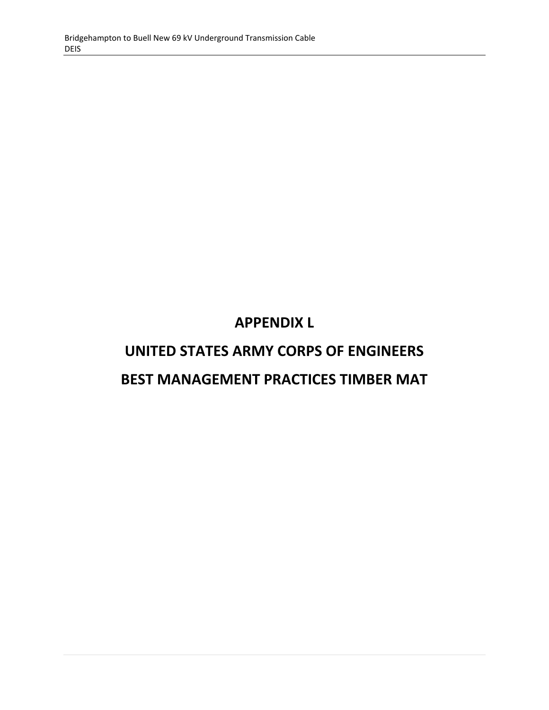## **APPENDIX L**

# **UNITED STATES ARMY CORPS OF ENGINEERS BEST MANAGEMENT PRACTICES TIMBER MAT**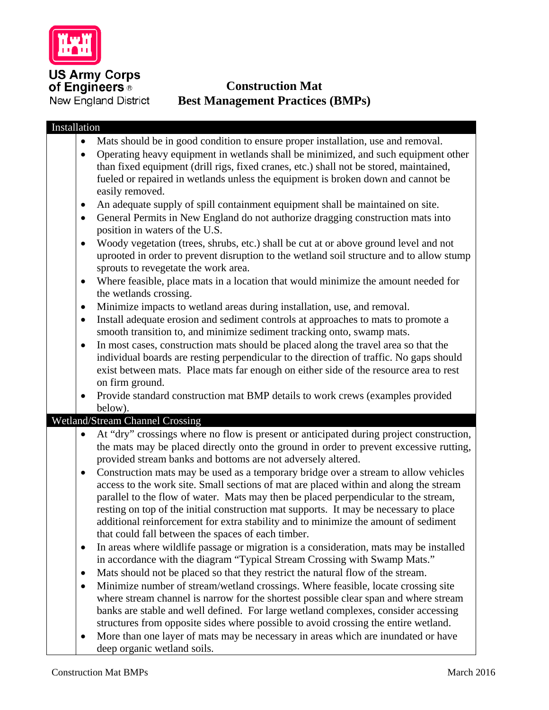

## **Construction Mat Best Management Practices (BMPs)**

### Installation Mats should be in good condition to ensure proper installation, use and removal. Operating heavy equipment in wetlands shall be minimized, and such equipment other than fixed equipment (drill rigs, fixed cranes, etc.) shall not be stored, maintained, fueled or repaired in wetlands unless the equipment is broken down and cannot be easily removed. An adequate supply of spill containment equipment shall be maintained on site. General Permits in New England do not authorize dragging construction mats into position in waters of the U.S. Woody vegetation (trees, shrubs, etc.) shall be cut at or above ground level and not uprooted in order to prevent disruption to the wetland soil structure and to allow stump sprouts to revegetate the work area. Where feasible, place mats in a location that would minimize the amount needed for the wetlands crossing. Minimize impacts to wetland areas during installation, use, and removal. • Install adequate erosion and sediment controls at approaches to mats to promote a smooth transition to, and minimize sediment tracking onto, swamp mats. • In most cases, construction mats should be placed along the travel area so that the individual boards are resting perpendicular to the direction of traffic. No gaps should exist between mats. Place mats far enough on either side of the resource area to rest on firm ground. Provide standard construction mat BMP details to work crews (examples provided below). Wetland/Stream Channel Crossing At "dry" crossings where no flow is present or anticipated during project construction, the mats may be placed directly onto the ground in order to prevent excessive rutting, provided stream banks and bottoms are not adversely altered. Construction mats may be used as a temporary bridge over a stream to allow vehicles access to the work site. Small sections of mat are placed within and along the stream parallel to the flow of water. Mats may then be placed perpendicular to the stream, resting on top of the initial construction mat supports. It may be necessary to place additional reinforcement for extra stability and to minimize the amount of sediment that could fall between the spaces of each timber. • In areas where wildlife passage or migration is a consideration, mats may be installed in accordance with the diagram "Typical Stream Crossing with Swamp Mats." Mats should not be placed so that they restrict the natural flow of the stream. Minimize number of stream/wetland crossings. Where feasible, locate crossing site where stream channel is narrow for the shortest possible clear span and where stream banks are stable and well defined. For large wetland complexes, consider accessing structures from opposite sides where possible to avoid crossing the entire wetland. More than one layer of mats may be necessary in areas which are inundated or have deep organic wetland soils.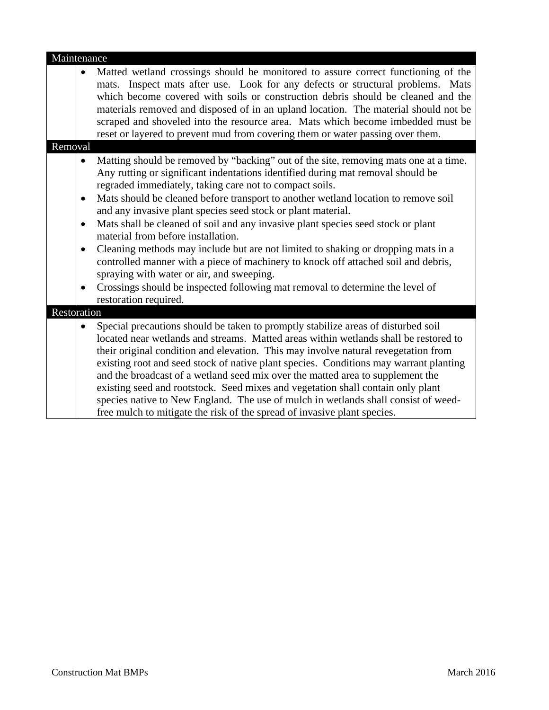| Matted wetland crossings should be monitored to assure correct functioning of the<br>mats. Inspect mats after use. Look for any defects or structural problems. Mats<br>which become covered with soils or construction debris should be cleaned and the<br>materials removed and disposed of in an upland location. The material should not be<br>scraped and shoveled into the resource area. Mats which become imbedded must be<br>reset or layered to prevent mud from covering them or water passing over them.                                                                                                                                                                                                                                                                                                                                 |
|------------------------------------------------------------------------------------------------------------------------------------------------------------------------------------------------------------------------------------------------------------------------------------------------------------------------------------------------------------------------------------------------------------------------------------------------------------------------------------------------------------------------------------------------------------------------------------------------------------------------------------------------------------------------------------------------------------------------------------------------------------------------------------------------------------------------------------------------------|
|                                                                                                                                                                                                                                                                                                                                                                                                                                                                                                                                                                                                                                                                                                                                                                                                                                                      |
| Matting should be removed by "backing" out of the site, removing mats one at a time.<br>Any rutting or significant indentations identified during mat removal should be<br>regraded immediately, taking care not to compact soils.<br>Mats should be cleaned before transport to another wetland location to remove soil<br>and any invasive plant species seed stock or plant material.<br>Mats shall be cleaned of soil and any invasive plant species seed stock or plant<br>material from before installation.<br>Cleaning methods may include but are not limited to shaking or dropping mats in a<br>controlled manner with a piece of machinery to knock off attached soil and debris,<br>spraying with water or air, and sweeping.<br>Crossings should be inspected following mat removal to determine the level of<br>restoration required. |
| Restoration                                                                                                                                                                                                                                                                                                                                                                                                                                                                                                                                                                                                                                                                                                                                                                                                                                          |
| Special precautions should be taken to promptly stabilize areas of disturbed soil<br>located near wetlands and streams. Matted areas within wetlands shall be restored to<br>their original condition and elevation. This may involve natural revegetation from<br>existing root and seed stock of native plant species. Conditions may warrant planting<br>and the broadcast of a wetland seed mix over the matted area to supplement the<br>existing seed and rootstock. Seed mixes and vegetation shall contain only plant<br>species native to New England. The use of mulch in wetlands shall consist of weed-<br>free mulch to mitigate the risk of the spread of invasive plant species.                                                                                                                                                      |
|                                                                                                                                                                                                                                                                                                                                                                                                                                                                                                                                                                                                                                                                                                                                                                                                                                                      |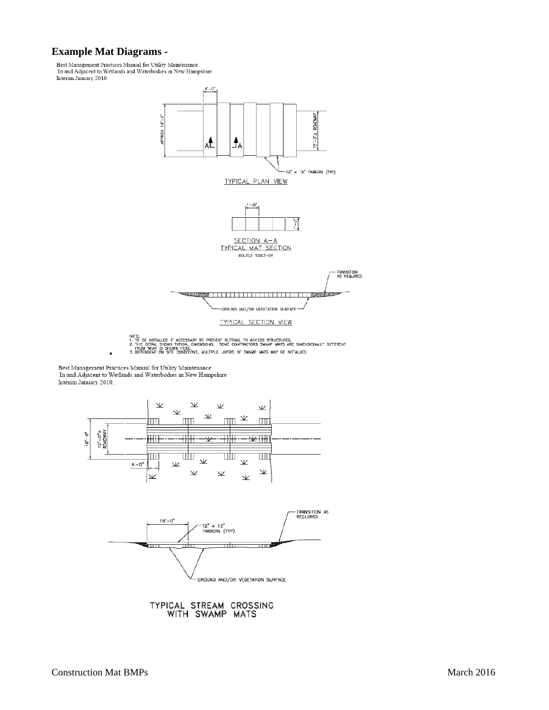#### **Example Mat Diagrams -**

Best Management Practices Manual for Utility Maintenance<br>In and Adjacent to Wetlands and Waterbodies in New Hampshire Interim January 2010.



NOTE:<br>1. TO BE INSTALLED IF NECESSARY TO PREVENT RUTTING, TO ACCESS STRUCTURES.<br>2. THIS DETAL SHOWR TYPICAL DIMENSIONS. SOME CONTRACTORS SWAMP MATS ARE DIMENSIONALLY DIFFERENT<br>3. DEPENDENT ON SITE CONDITIONS, MULTIPLE LAYE

Best Management Practices Manual for Utility Maintenance<br>In and Adjacent to Wetlands and Waterbodies in New Hampshire Interim January 2010.